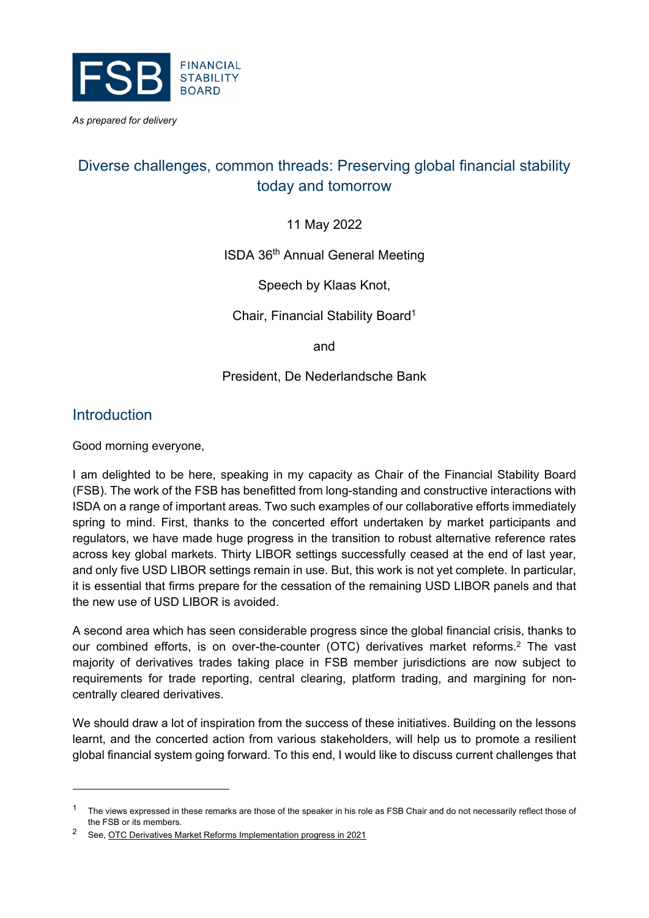

*As prepared for delivery*

# Diverse challenges, common threads: Preserving global financial stability today and tomorrow

11 May 2022

ISDA 36th Annual General Meeting

Speech by Klaas Knot,

Chair, Financial Stability Board<sup>1</sup>

and

#### President, De Nederlandsche Bank

### Introduction

Good morning everyone,

I am delighted to be here, speaking in my capacity as Chair of the Financial Stability Board (FSB). The work of the FSB has benefitted from long-standing and constructive interactions with ISDA on a range of important areas. Two such examples of our collaborative efforts immediately spring to mind. First, thanks to the concerted effort undertaken by market participants and regulators, we have made huge progress in the transition to robust alternative reference rates across key global markets. Thirty LIBOR settings successfully ceased at the end of last year, and only five USD LIBOR settings remain in use. But, this work is not yet complete. In particular, it is essential that firms prepare for the cessation of the remaining USD LIBOR panels and that the new use of USD LIBOR is avoided.

A second area which has seen considerable progress since the global financial crisis, thanks to our combined efforts, is on over-the-counter (OTC) derivatives market reforms.2 The vast majority of derivatives trades taking place in FSB member jurisdictions are now subject to requirements for trade reporting, central clearing, platform trading, and margining for noncentrally cleared derivatives.

We should draw a lot of inspiration from the success of these initiatives. Building on the lessons learnt, and the concerted action from various stakeholders, will help us to promote a resilient global financial system going forward. To this end, I would like to discuss current challenges that

 $1$  The views expressed in these remarks are those of the speaker in his role as FSB Chair and do not necessarily reflect those of the FSB or its members.

<sup>2</sup> See, OTC Derivatives Market Reforms Implementation progress in 2021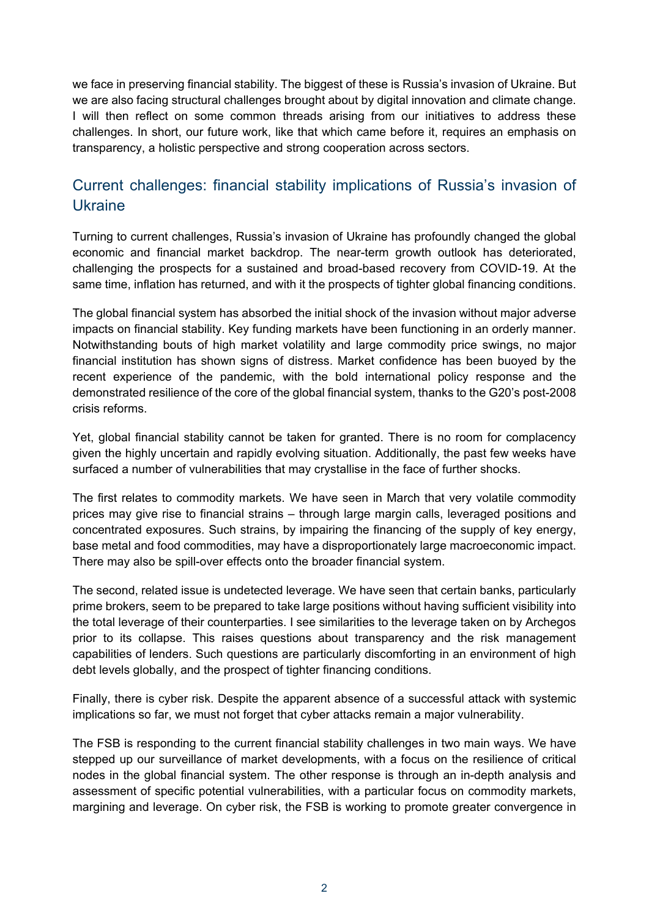we face in preserving financial stability. The biggest of these is Russia's invasion of Ukraine. But we are also facing structural challenges brought about by digital innovation and climate change. I will then reflect on some common threads arising from our initiatives to address these challenges. In short, our future work, like that which came before it, requires an emphasis on transparency, a holistic perspective and strong cooperation across sectors.

## Current challenges: financial stability implications of Russia's invasion of Ukraine

Turning to current challenges, Russia's invasion of Ukraine has profoundly changed the global economic and financial market backdrop. The near-term growth outlook has deteriorated, challenging the prospects for a sustained and broad-based recovery from COVID-19. At the same time, inflation has returned, and with it the prospects of tighter global financing conditions.

The global financial system has absorbed the initial shock of the invasion without major adverse impacts on financial stability. Key funding markets have been functioning in an orderly manner. Notwithstanding bouts of high market volatility and large commodity price swings, no major financial institution has shown signs of distress. Market confidence has been buoyed by the recent experience of the pandemic, with the bold international policy response and the demonstrated resilience of the core of the global financial system, thanks to the G20's post-2008 crisis reforms.

Yet, global financial stability cannot be taken for granted. There is no room for complacency given the highly uncertain and rapidly evolving situation. Additionally, the past few weeks have surfaced a number of vulnerabilities that may crystallise in the face of further shocks.

The first relates to commodity markets. We have seen in March that very volatile commodity prices may give rise to financial strains – through large margin calls, leveraged positions and concentrated exposures. Such strains, by impairing the financing of the supply of key energy, base metal and food commodities, may have a disproportionately large macroeconomic impact. There may also be spill-over effects onto the broader financial system.

The second, related issue is undetected leverage. We have seen that certain banks, particularly prime brokers, seem to be prepared to take large positions without having sufficient visibility into the total leverage of their counterparties. I see similarities to the leverage taken on by Archegos prior to its collapse. This raises questions about transparency and the risk management capabilities of lenders. Such questions are particularly discomforting in an environment of high debt levels globally, and the prospect of tighter financing conditions.

Finally, there is cyber risk. Despite the apparent absence of a successful attack with systemic implications so far, we must not forget that cyber attacks remain a major vulnerability.

The FSB is responding to the current financial stability challenges in two main ways. We have stepped up our surveillance of market developments, with a focus on the resilience of critical nodes in the global financial system. The other response is through an in-depth analysis and assessment of specific potential vulnerabilities, with a particular focus on commodity markets, margining and leverage. On cyber risk, the FSB is working to promote greater convergence in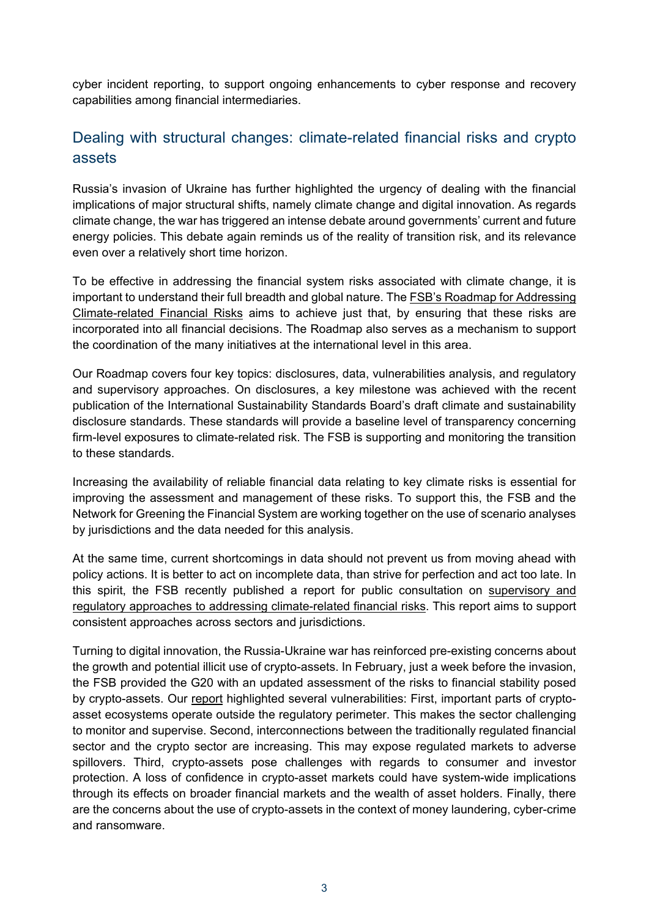cyber incident reporting, to support ongoing enhancements to cyber response and recovery capabilities among financial intermediaries.

# Dealing with structural changes: climate-related financial risks and crypto assets

Russia's invasion of Ukraine has further highlighted the urgency of dealing with the financial implications of major structural shifts, namely climate change and digital innovation. As regards climate change, the war has triggered an intense debate around governments' current and future energy policies. This debate again reminds us of the reality of transition risk, and its relevance even over a relatively short time horizon.

To be effective in addressing the financial system risks associated with climate change, it is important to understand their full breadth and global nature. The **FSB's Roadmap for Addressing** Climate-related Financial Risks aims to achieve just that, by ensuring that these risks are incorporated into all financial decisions. The Roadmap also serves as a mechanism to support the coordination of the many initiatives at the international level in this area.

Our Roadmap covers four key topics: disclosures, data, vulnerabilities analysis, and regulatory and supervisory approaches. On disclosures, a key milestone was achieved with the recent publication of the International Sustainability Standards Board's draft climate and sustainability disclosure standards. These standards will provide a baseline level of transparency concerning firm-level exposures to climate-related risk. The FSB is supporting and monitoring the transition to these standards.

Increasing the availability of reliable financial data relating to key climate risks is essential for improving the assessment and management of these risks. To support this, the FSB and the Network for Greening the Financial System are working together on the use of scenario analyses by jurisdictions and the data needed for this analysis.

At the same time, current shortcomings in data should not prevent us from moving ahead with policy actions. It is better to act on incomplete data, than strive for perfection and act too late. In this spirit, the FSB recently published a report for public consultation on supervisory and regulatory approaches to addressing climate-related financial risks. This report aims to support consistent approaches across sectors and jurisdictions.

Turning to digital innovation, the Russia-Ukraine war has reinforced pre-existing concerns about the growth and potential illicit use of crypto-assets. In February, just a week before the invasion, the FSB provided the G20 with an updated assessment of the risks to financial stability posed by crypto-assets. Our report highlighted several vulnerabilities: First, important parts of cryptoasset ecosystems operate outside the regulatory perimeter. This makes the sector challenging to monitor and supervise. Second, interconnections between the traditionally regulated financial sector and the crypto sector are increasing. This may expose regulated markets to adverse spillovers. Third, crypto-assets pose challenges with regards to consumer and investor protection. A loss of confidence in crypto-asset markets could have system-wide implications through its effects on broader financial markets and the wealth of asset holders. Finally, there are the concerns about the use of crypto-assets in the context of money laundering, cyber-crime and ransomware.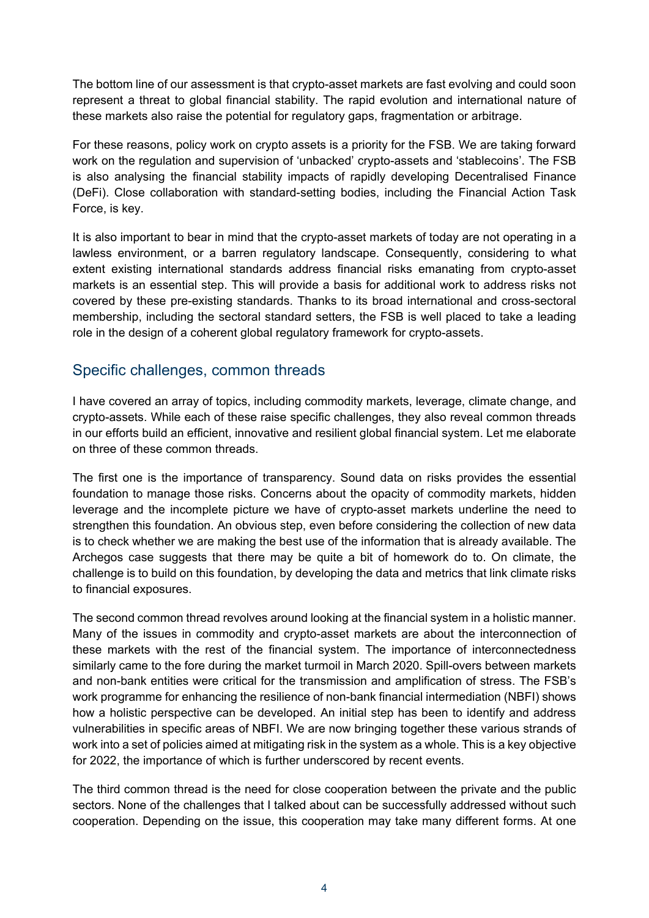The bottom line of our assessment is that crypto-asset markets are fast evolving and could soon represent a threat to global financial stability. The rapid evolution and international nature of these markets also raise the potential for regulatory gaps, fragmentation or arbitrage.

For these reasons, policy work on crypto assets is a priority for the FSB. We are taking forward work on the regulation and supervision of 'unbacked' crypto-assets and 'stablecoins'. The FSB is also analysing the financial stability impacts of rapidly developing Decentralised Finance (DeFi). Close collaboration with standard-setting bodies, including the Financial Action Task Force, is key.

It is also important to bear in mind that the crypto-asset markets of today are not operating in a lawless environment, or a barren regulatory landscape. Consequently, considering to what extent existing international standards address financial risks emanating from crypto-asset markets is an essential step. This will provide a basis for additional work to address risks not covered by these pre-existing standards. Thanks to its broad international and cross-sectoral membership, including the sectoral standard setters, the FSB is well placed to take a leading role in the design of a coherent global regulatory framework for crypto-assets.

### Specific challenges, common threads

I have covered an array of topics, including commodity markets, leverage, climate change, and crypto-assets. While each of these raise specific challenges, they also reveal common threads in our efforts build an efficient, innovative and resilient global financial system. Let me elaborate on three of these common threads.

The first one is the importance of transparency. Sound data on risks provides the essential foundation to manage those risks. Concerns about the opacity of commodity markets, hidden leverage and the incomplete picture we have of crypto-asset markets underline the need to strengthen this foundation. An obvious step, even before considering the collection of new data is to check whether we are making the best use of the information that is already available. The Archegos case suggests that there may be quite a bit of homework do to. On climate, the challenge is to build on this foundation, by developing the data and metrics that link climate risks to financial exposures.

The second common thread revolves around looking at the financial system in a holistic manner. Many of the issues in commodity and crypto-asset markets are about the interconnection of these markets with the rest of the financial system. The importance of interconnectedness similarly came to the fore during the market turmoil in March 2020. Spill-overs between markets and non-bank entities were critical for the transmission and amplification of stress. The FSB's work programme for enhancing the resilience of non-bank financial intermediation (NBFI) shows how a holistic perspective can be developed. An initial step has been to identify and address vulnerabilities in specific areas of NBFI. We are now bringing together these various strands of work into a set of policies aimed at mitigating risk in the system as a whole. This is a key objective for 2022, the importance of which is further underscored by recent events.

The third common thread is the need for close cooperation between the private and the public sectors. None of the challenges that I talked about can be successfully addressed without such cooperation. Depending on the issue, this cooperation may take many different forms. At one